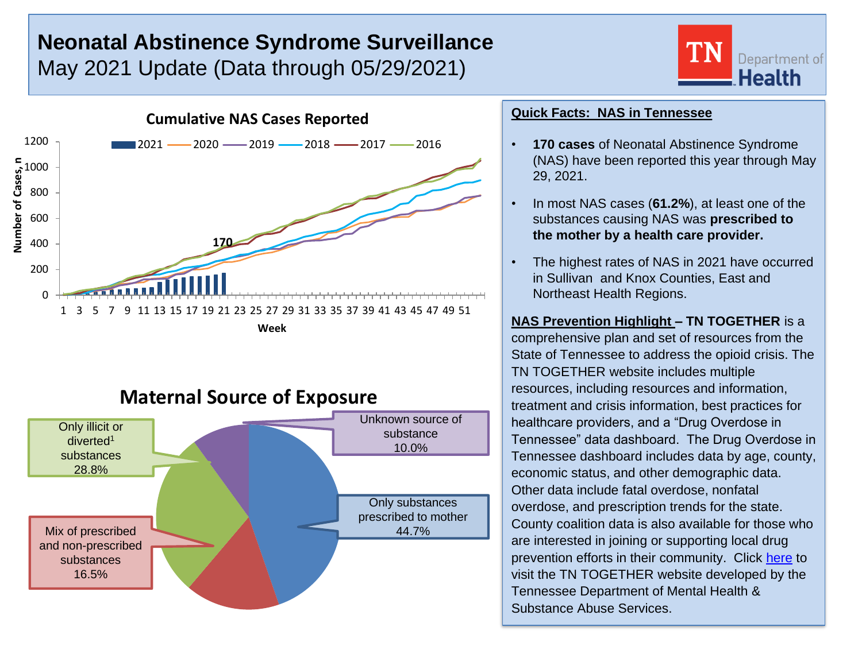# **Neonatal Abstinence Syndrome Surveillance** May 2021 Update (Data through 05/29/2021)



# **Maternal Source of Exposure**



### **Quick Facts: NAS in Tennessee**

• **170 cases** of Neonatal Abstinence Syndrome (NAS) have been reported this year through May 29, 2021.

Department of **Health** 

- In most NAS cases (**61.2%**), at least one of the substances causing NAS was **prescribed to the mother by a health care provider.**
- The highest rates of NAS in 2021 have occurred in Sullivan and Knox Counties, East and Northeast Health Regions.

**NAS Prevention Highlight – TN TOGETHER** is a comprehensive plan and set of resources from the State of Tennessee to address the opioid crisis. The TN TOGETHER website includes multiple resources, including resources and information, treatment and crisis information, best practices for healthcare providers, and a "Drug Overdose in Tennessee" data dashboard. The Drug Overdose in Tennessee dashboard includes data by age, county, economic status, and other demographic data. Other data include fatal overdose, nonfatal overdose, and prescription trends for the state. County coalition data is also available for those who are interested in joining or supporting local drug prevention efforts in their community. Click [here](https://www.tn.gov/opioids.html) to visit the TN TOGETHER website developed by the Tennessee Department of Mental Health & Substance Abuse Services.